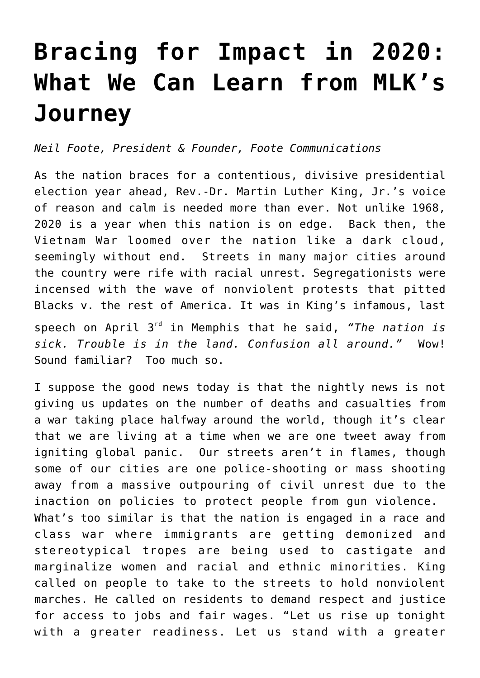## **[Bracing for Impact in 2020:](https://www.commpro.biz/bracing-for-impact-in-2020-what-we-can-learn-from-mlks-journey/) [What We Can Learn from MLK's](https://www.commpro.biz/bracing-for-impact-in-2020-what-we-can-learn-from-mlks-journey/) [Journey](https://www.commpro.biz/bracing-for-impact-in-2020-what-we-can-learn-from-mlks-journey/)**

*Neil Foote, President & Founder, [Foote Communications](https://www.neilfoote.com/)*

As the nation braces for a contentious, divisive presidential election year ahead, Rev.-Dr. Martin Luther King, Jr.'s voice of reason and calm is needed more than ever. Not unlike 1968, 2020 is a year when this nation is on edge. Back then, the Vietnam War loomed over the nation like a dark cloud, seemingly without end. Streets in many major cities around the country were rife with racial unrest. Segregationists were incensed with the wave of nonviolent protests that pitted Blacks v. the rest of America. It was in King's infamous, last speech on April 3rd in Memphis that he said, *"The nation is sick. Trouble is in the land. Confusion all around."* Wow! Sound familiar? Too much so.

I suppose the good news today is that the nightly news is not giving us updates on the number of deaths and casualties from a war taking place halfway around the world, though it's clear that we are living at a time when we are one tweet away from igniting global panic. Our streets aren't in flames, though some of our cities are one police-shooting or mass shooting away from a massive outpouring of civil unrest due to the inaction on policies to protect people from gun violence. What's too similar is that the nation is engaged in a race and class war where immigrants are getting demonized and stereotypical tropes are being used to castigate and marginalize women and racial and ethnic minorities. King called on people to take to the streets to hold nonviolent marches. He called on residents to demand respect and justice for access to jobs and fair wages. "Let us rise up tonight with a greater readiness. Let us stand with a greater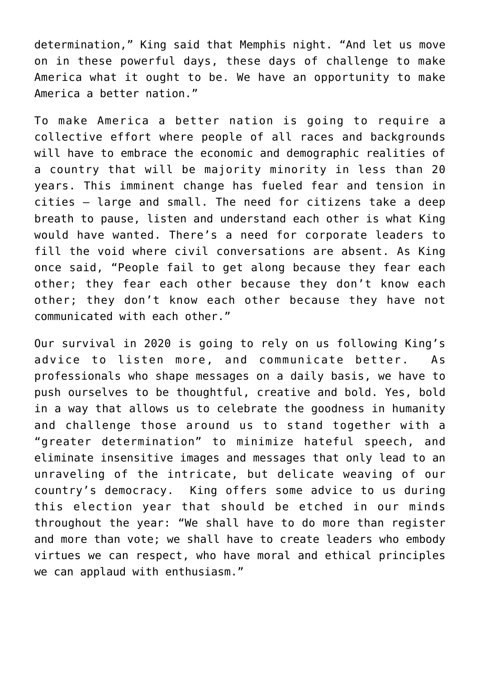determination," [King said](https://www.commpro.biz/about:blank) that Memphis night. "And let us move on in these powerful days, these days of challenge to make America what it ought to be. We have an opportunity to make America a better nation."

To make America a better nation is going to require a collective effort where people of all races and backgrounds will have to embrace the economic and demographic realities of a country that will be majority minority in less than 20 years. This imminent change has fueled fear and tension in cities – large and small. The need for citizens take a deep breath to pause, listen and understand each other is what King would have wanted. There's a need for corporate leaders to fill the void where civil conversations are absent. As [King](https://www.commpro.biz/about:blank) [once said,](https://www.commpro.biz/about:blank) "People fail to get along because they fear each other; they fear each other because they don't know each other; they don't know each other because they have not communicated with each other."

Our survival in 2020 is going to rely on us following King's advice to listen more, and communicate better. As [professionals](https://www.commpro.biz/) who shape messages on a daily basis, we have to push ourselves to be thoughtful, creative and bold. Yes, bold in a way that allows us to celebrate the goodness in humanity and challenge those around us to stand together with a "greater determination" to minimize hateful speech, and eliminate insensitive images and messages that only lead to an unraveling of the intricate, but delicate weaving of our country's democracy. King offers [some advice](https://www.commpro.biz/about:blank) to us during this election year that should be etched in our minds throughout the year: "We shall have to do more than register and more than vote; we shall have to create leaders who embody virtues we can respect, who have moral and ethical principles we can applaud with enthusiasm."